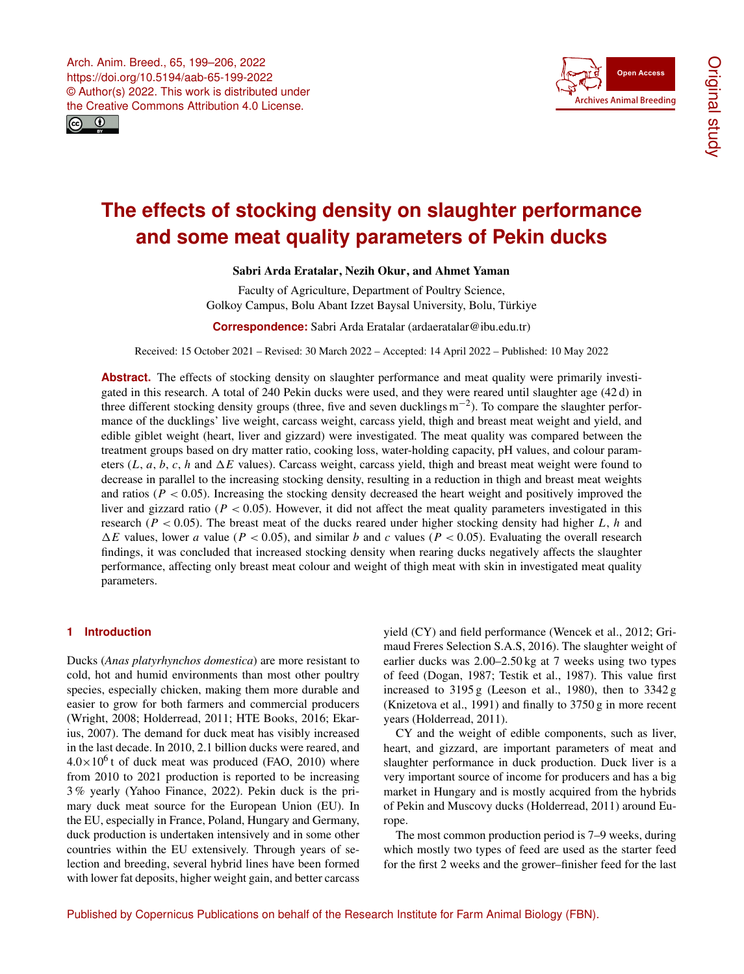



# **The effects of stocking density on slaughter performance and some meat quality parameters of Pekin ducks**

## Sabri Arda Eratalar, Nezih Okur, and Ahmet Yaman

Faculty of Agriculture, Department of Poultry Science, Golkoy Campus, Bolu Abant Izzet Baysal University, Bolu, Türkiye

**Correspondence:** Sabri Arda Eratalar (ardaeratalar@ibu.edu.tr)

Received: 15 October 2021 – Revised: 30 March 2022 – Accepted: 14 April 2022 – Published: 10 May 2022

**Abstract.** The effects of stocking density on slaughter performance and meat quality were primarily investigated in this research. A total of 240 Pekin ducks were used, and they were reared until slaughter age (42 d) in three different stocking density groups (three, five and seven ducklings m−<sup>2</sup> ). To compare the slaughter performance of the ducklings' live weight, carcass weight, carcass yield, thigh and breast meat weight and yield, and edible giblet weight (heart, liver and gizzard) were investigated. The meat quality was compared between the treatment groups based on dry matter ratio, cooking loss, water-holding capacity, pH values, and colour parameters  $(L, a, b, c, h$  and  $\Delta E$  values). Carcass weight, carcass yield, thigh and breast meat weight were found to decrease in parallel to the increasing stocking density, resulting in a reduction in thigh and breast meat weights and ratios ( $P < 0.05$ ). Increasing the stocking density decreased the heart weight and positively improved the liver and gizzard ratio ( $P < 0.05$ ). However, it did not affect the meat quality parameters investigated in this research ( $P < 0.05$ ). The breast meat of the ducks reared under higher stocking density had higher L, h and  $\Delta E$  values, lower a value (P < 0.05), and similar b and c values (P < 0.05). Evaluating the overall research findings, it was concluded that increased stocking density when rearing ducks negatively affects the slaughter performance, affecting only breast meat colour and weight of thigh meat with skin in investigated meat quality parameters.

#### **1 Introduction**

Ducks (*Anas platyrhynchos domestica*) are more resistant to cold, hot and humid environments than most other poultry species, especially chicken, making them more durable and easier to grow for both farmers and commercial producers (Wright, 2008; Holderread, 2011; HTE Books, 2016; Ekarius, 2007). The demand for duck meat has visibly increased in the last decade. In 2010, 2.1 billion ducks were reared, and  $4.0 \times 10^6$  t of duck meat was produced (FAO, 2010) where from 2010 to 2021 production is reported to be increasing 3 % yearly (Yahoo Finance, 2022). Pekin duck is the primary duck meat source for the European Union (EU). In the EU, especially in France, Poland, Hungary and Germany, duck production is undertaken intensively and in some other countries within the EU extensively. Through years of selection and breeding, several hybrid lines have been formed with lower fat deposits, higher weight gain, and better carcass

yield (CY) and field performance (Wencek et al., 2012; Grimaud Freres Selection S.A.S, 2016). The slaughter weight of earlier ducks was 2.00–2.50 kg at 7 weeks using two types of feed (Dogan, 1987; Testik et al., 1987). This value first increased to  $3195 g$  (Leeson et al., 1980), then to  $3342 g$ (Knizetova et al., 1991) and finally to 3750 g in more recent years (Holderread, 2011).

CY and the weight of edible components, such as liver, heart, and gizzard, are important parameters of meat and slaughter performance in duck production. Duck liver is a very important source of income for producers and has a big market in Hungary and is mostly acquired from the hybrids of Pekin and Muscovy ducks (Holderread, 2011) around Europe.

The most common production period is 7–9 weeks, during which mostly two types of feed are used as the starter feed for the first 2 weeks and the grower–finisher feed for the last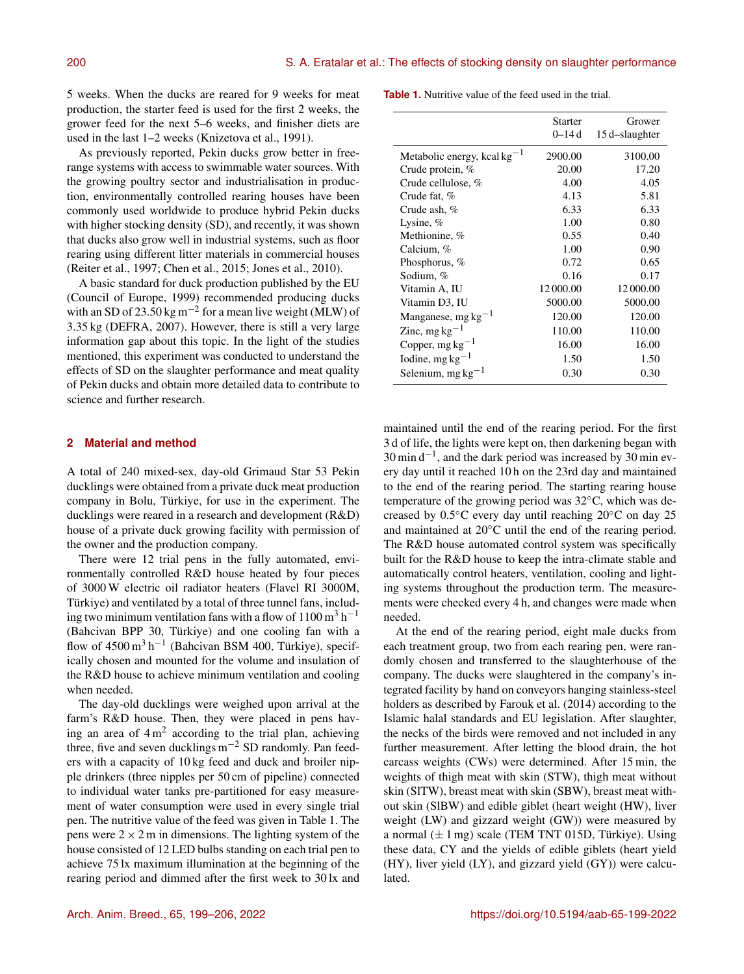5 weeks. When the ducks are reared for 9 weeks for meat production, the starter feed is used for the first 2 weeks, the grower feed for the next 5–6 weeks, and finisher diets are used in the last 1–2 weeks (Knizetova et al., 1991).

As previously reported, Pekin ducks grow better in freerange systems with access to swimmable water sources. With the growing poultry sector and industrialisation in production, environmentally controlled rearing houses have been commonly used worldwide to produce hybrid Pekin ducks with higher stocking density (SD), and recently, it was shown that ducks also grow well in industrial systems, such as floor rearing using different litter materials in commercial houses (Reiter et al., 1997; Chen et al., 2015; Jones et al., 2010).

A basic standard for duck production published by the EU (Council of Europe, 1999) recommended producing ducks with an SD of 23.50 kg m<sup>-2</sup> for a mean live weight (MLW) of 3.35 kg (DEFRA, 2007). However, there is still a very large information gap about this topic. In the light of the studies mentioned, this experiment was conducted to understand the effects of SD on the slaughter performance and meat quality of Pekin ducks and obtain more detailed data to contribute to science and further research.

#### **2 Material and method**

A total of 240 mixed-sex, day-old Grimaud Star 53 Pekin ducklings were obtained from a private duck meat production company in Bolu, Türkiye, for use in the experiment. The ducklings were reared in a research and development (R&D) house of a private duck growing facility with permission of the owner and the production company.

There were 12 trial pens in the fully automated, environmentally controlled R&D house heated by four pieces of 3000 W electric oil radiator heaters (Flavel RI 3000M, Türkiye) and ventilated by a total of three tunnel fans, including two minimum ventilation fans with a flow of  $1100 \text{ m}^3 \text{ h}^{-1}$ (Bahcivan BPP 30, Türkiye) and one cooling fan with a flow of  $4500 \text{ m}^3 \text{ h}^{-1}$  (Bahcivan BSM 400, Türkiye), specifically chosen and mounted for the volume and insulation of the R&D house to achieve minimum ventilation and cooling when needed.

The day-old ducklings were weighed upon arrival at the farm's R&D house. Then, they were placed in pens having an area of  $4 \text{ m}^2$  according to the trial plan, achieving three, five and seven ducklings m−<sup>2</sup> SD randomly. Pan feeders with a capacity of 10 kg feed and duck and broiler nipple drinkers (three nipples per 50 cm of pipeline) connected to individual water tanks pre-partitioned for easy measurement of water consumption were used in every single trial pen. The nutritive value of the feed was given in Table 1. The pens were  $2 \times 2$  m in dimensions. The lighting system of the house consisted of 12 LED bulbs standing on each trial pen to achieve 75 lx maximum illumination at the beginning of the rearing period and dimmed after the first week to 30 lx and

**Table 1.** Nutritive value of the feed used in the trial.

|                                  | <b>Starter</b><br>0–14 d | Grower<br>15 d-slaughter |
|----------------------------------|--------------------------|--------------------------|
| Metabolic energy, kcal $kg^{-1}$ | 2900.00                  | 3100.00                  |
| Crude protein, $%$               | 20.00                    | 17.20                    |
| Crude cellulose, $%$             | 4.00                     | 4.05                     |
| Crude fat, %                     | 4.13                     | 5.81                     |
| Crude ash, $%$                   | 6.33                     | 6.33                     |
| Lysine, $%$                      | 1.00                     | 0.80                     |
| Methionine, %                    | 0.55                     | 0.40                     |
| Calcium, %                       | 1.00                     | 0.90                     |
| Phosphorus, %                    | 0.72                     | 0.65                     |
| Sodium, %                        | 0.16                     | 0.17                     |
| Vitamin A, IU                    | 12 000.00                | 12 000.00                |
| Vitamin D3, IU                   | 5000.00                  | 5000.00                  |
| Manganese, $mg \, kg^{-1}$       | 120.00                   | 120.00                   |
| Zinc, mg $kg^{-1}$               | 110.00                   | 110.00                   |
| Copper, $mg \, kg^{-1}$          | 16.00                    | 16.00                    |
| Iodine, mg $kg^{-1}$             | 1.50                     | 1.50                     |
| Selenium, mg $kg^{-1}$           | 0.30                     | 0.30                     |

maintained until the end of the rearing period. For the first 3 d of life, the lights were kept on, then darkening began with 30 min d−<sup>1</sup> , and the dark period was increased by 30 min every day until it reached 10 h on the 23rd day and maintained to the end of the rearing period. The starting rearing house temperature of the growing period was 32◦C, which was decreased by 0.5◦C every day until reaching 20◦C on day 25 and maintained at 20◦C until the end of the rearing period. The R&D house automated control system was specifically built for the R&D house to keep the intra-climate stable and automatically control heaters, ventilation, cooling and lighting systems throughout the production term. The measurements were checked every 4 h, and changes were made when needed.

At the end of the rearing period, eight male ducks from each treatment group, two from each rearing pen, were randomly chosen and transferred to the slaughterhouse of the company. The ducks were slaughtered in the company's integrated facility by hand on conveyors hanging stainless-steel holders as described by Farouk et al. (2014) according to the Islamic halal standards and EU legislation. After slaughter, the necks of the birds were removed and not included in any further measurement. After letting the blood drain, the hot carcass weights (CWs) were determined. After 15 min, the weights of thigh meat with skin (STW), thigh meat without skin (SlTW), breast meat with skin (SBW), breast meat without skin (SlBW) and edible giblet (heart weight (HW), liver weight (LW) and gizzard weight (GW)) were measured by a normal  $(\pm 1 \text{ mg})$  scale (TEM TNT 015D, Türkiye). Using these data, CY and the yields of edible giblets (heart yield (HY), liver yield (LY), and gizzard yield (GY)) were calculated.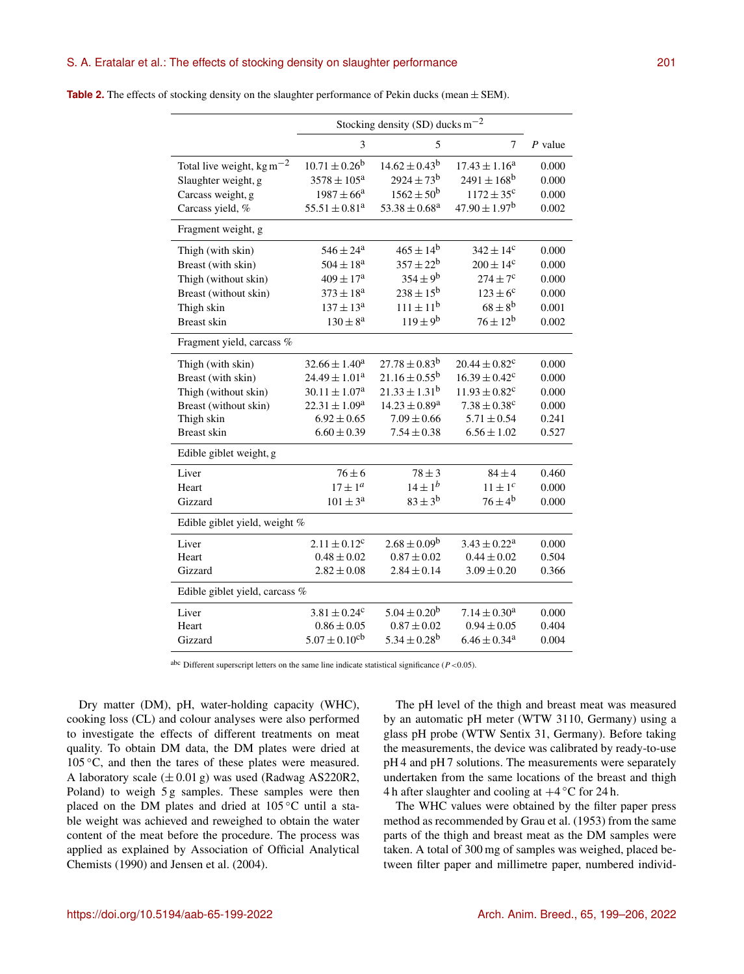## S. A. Eratalar et al.: The effects of stocking density on slaughter performance 201

|                                                    | Stocking density (SD) ducks $m^{-2}$ |                          |                               |           |  |
|----------------------------------------------------|--------------------------------------|--------------------------|-------------------------------|-----------|--|
|                                                    | 3                                    | 5                        | 7                             | $P$ value |  |
| Total live weight, kg m <sup><math>-2</math></sup> | $10.71 \pm 0.26^b$                   | $14.62 \pm 0.43^b$       | $17.43 \pm 1.16^a$            | 0.000     |  |
| Slaughter weight, g                                | $3578 \pm 105^{\rm a}$               | $2924 \pm 73^b$          | $2491 \pm 168$ <sup>b</sup>   | 0.000     |  |
| Carcass weight, g                                  | $1987 \pm 66^{\circ}$                | $1562 \pm 50^{\rm b}$    | $1172 \pm 35^c$               | 0.000     |  |
| Carcass yield, %                                   | $55.51 \pm 0.81^a$                   | $53.38 \pm 0.68^{\rm a}$ | $47.90 \pm 1.97^b$            | 0.002     |  |
| Fragment weight, g                                 |                                      |                          |                               |           |  |
| Thigh (with skin)                                  | $546 \pm 24^{\rm a}$                 | $465 \pm 14^{b}$         | $342 \pm 14^c$                | 0.000     |  |
| Breast (with skin)                                 | $504 \pm 18^{\rm a}$                 | $357 \pm 22^b$           | $200 \pm 14^c$                | 0.000     |  |
| Thigh (without skin)                               | $409 \pm 17^{\rm a}$                 | $354 \pm 9^{\rm b}$      | $274 \pm 7^c$                 | 0.000     |  |
| Breast (without skin)                              | $373 \pm 18^{\rm a}$                 | $238 \pm 15^{b}$         | $123 \pm 6^c$                 | 0.000     |  |
| Thigh skin                                         | $137 \pm 13^a$                       | $111 \pm 11^{b}$         | $68 \pm 8^{\rm b}$            | 0.001     |  |
| <b>Breast skin</b>                                 | $130 \pm 8^a$                        | $119 \pm 9^{\rm b}$      | $76 \pm 12^b$                 | 0.002     |  |
| Fragment yield, carcass %                          |                                      |                          |                               |           |  |
| Thigh (with skin)                                  | $32.66 \pm 1.40^a$                   | $27.78 \pm 0.83^b$       | $20.44 \pm 0.82$ <sup>c</sup> | 0.000     |  |
| Breast (with skin)                                 | $24.49 \pm 1.01^a$                   | $21.16 \pm 0.55^{\rm b}$ | $16.39 \pm 0.42^c$            | 0.000     |  |
| Thigh (without skin)                               | $30.11 \pm 1.07^a$                   | $21.33 \pm 1.31^b$       | $11.93 \pm 0.82$ <sup>c</sup> | 0.000     |  |
| Breast (without skin)                              | $22.31 \pm 1.09^a$                   | $14.23 \pm 0.89^a$       | $7.38 \pm 0.38$ <sup>c</sup>  | 0.000     |  |
| Thigh skin                                         | $6.92 \pm 0.65$                      | $7.09 \pm 0.66$          | $5.71 \pm 0.54$               | 0.241     |  |
| <b>Breast skin</b>                                 | $6.60 \pm 0.39$                      | $7.54 \pm 0.38$          | $6.56 \pm 1.02$               | 0.527     |  |
| Edible giblet weight, g                            |                                      |                          |                               |           |  |
| Liver                                              | $76 \pm 6$                           | $78 \pm 3$               | $84 \pm 4$                    | 0.460     |  |
| Heart                                              | $17 \pm 1^a$                         | $14 \pm 1^b$             | $11 \pm 1^c$                  | 0.000     |  |
| Gizzard                                            | $101\pm3^{\rm a}$                    | $83 \pm 3^{b}$           | $76 \pm 4^{\rm b}$            | 0.000     |  |
| Edible giblet yield, weight %                      |                                      |                          |                               |           |  |
| Liver                                              | $2.11 \pm 0.12^c$                    | $2.68 \pm 0.09^b$        | $3.43 \pm 0.22^a$             | 0.000     |  |
| Heart                                              | $0.48 \pm 0.02$                      | $0.87 \pm 0.02$          | $0.44 \pm 0.02$               | 0.504     |  |
| Gizzard                                            | $2.82 \pm 0.08$                      | $2.84 \pm 0.14$          | $3.09 \pm 0.20$               | 0.366     |  |
|                                                    | Edible giblet yield, carcass %       |                          |                               |           |  |
| Liver                                              | $3.81 \pm 0.24^c$                    | $5.04 \pm 0.20^b$        | $7.14 \pm 0.30^a$             | 0.000     |  |
| Heart                                              | $0.86 \pm 0.05$                      | $0.87 \pm 0.02$          | $0.94 \pm 0.05$               | 0.404     |  |
| Gizzard                                            | $5.07 \pm 0.10$ <sup>cb</sup>        | $5.34 \pm 0.28^{\rm b}$  | $6.46 \pm 0.34$ <sup>a</sup>  | 0.004     |  |

**Table 2.** The effects of stocking density on the slaughter performance of Pekin ducks (mean  $\pm$  SEM).

abc Different superscript letters on the same line indicate statistical significance ( $P < 0.05$ ).

Dry matter (DM), pH, water-holding capacity (WHC), cooking loss (CL) and colour analyses were also performed to investigate the effects of different treatments on meat quality. To obtain DM data, the DM plates were dried at  $105\degree C$ , and then the tares of these plates were measured. A laboratory scale  $(\pm 0.01 \text{ g})$  was used (Radwag AS220R2, Poland) to weigh 5 g samples. These samples were then placed on the DM plates and dried at 105 °C until a stable weight was achieved and reweighed to obtain the water content of the meat before the procedure. The process was applied as explained by Association of Official Analytical Chemists (1990) and Jensen et al. (2004).

The pH level of the thigh and breast meat was measured by an automatic pH meter (WTW 3110, Germany) using a glass pH probe (WTW Sentix 31, Germany). Before taking the measurements, the device was calibrated by ready-to-use pH 4 and pH 7 solutions. The measurements were separately undertaken from the same locations of the breast and thigh 4 h after slaughter and cooling at  $+4$  °C for 24 h.

The WHC values were obtained by the filter paper press method as recommended by Grau et al. (1953) from the same parts of the thigh and breast meat as the DM samples were taken. A total of 300 mg of samples was weighed, placed between filter paper and millimetre paper, numbered individ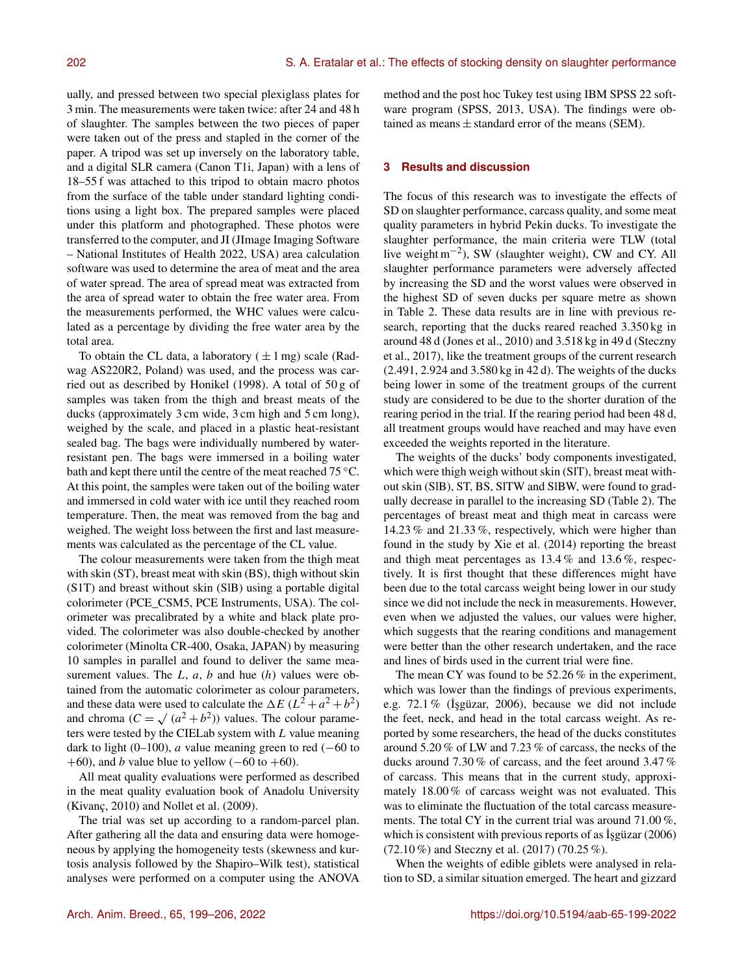ually, and pressed between two special plexiglass plates for 3 min. The measurements were taken twice: after 24 and 48 h of slaughter. The samples between the two pieces of paper were taken out of the press and stapled in the corner of the paper. A tripod was set up inversely on the laboratory table, and a digital SLR camera (Canon T1i, Japan) with a lens of 18–55 f was attached to this tripod to obtain macro photos from the surface of the table under standard lighting conditions using a light box. The prepared samples were placed under this platform and photographed. These photos were transferred to the computer, and JI (JImage Imaging Software – National Institutes of Health 2022, USA) area calculation software was used to determine the area of meat and the area of water spread. The area of spread meat was extracted from the area of spread water to obtain the free water area. From the measurements performed, the WHC values were calculated as a percentage by dividing the free water area by the total area.

To obtain the CL data, a laboratory ( $\pm 1$  mg) scale (Radwag AS220R2, Poland) was used, and the process was carried out as described by Honikel (1998). A total of 50 g of samples was taken from the thigh and breast meats of the ducks (approximately 3 cm wide, 3 cm high and 5 cm long), weighed by the scale, and placed in a plastic heat-resistant sealed bag. The bags were individually numbered by waterresistant pen. The bags were immersed in a boiling water bath and kept there until the centre of the meat reached 75 °C. At this point, the samples were taken out of the boiling water and immersed in cold water with ice until they reached room temperature. Then, the meat was removed from the bag and weighed. The weight loss between the first and last measurements was calculated as the percentage of the CL value.

The colour measurements were taken from the thigh meat with skin (ST), breast meat with skin (BS), thigh without skin (S1T) and breast without skin (SlB) using a portable digital colorimeter (PCE\_CSM5, PCE Instruments, USA). The colorimeter was precalibrated by a white and black plate provided. The colorimeter was also double-checked by another colorimeter (Minolta CR-400, Osaka, JAPAN) by measuring 10 samples in parallel and found to deliver the same measurement values. The  $L$ ,  $a$ ,  $b$  and hue  $(h)$  values were obtained from the automatic colorimeter as colour parameters, and these data were used to calculate the  $\Delta E (L^2 + a^2 + b^2)$ and chroma  $(C = \sqrt{(a^2 + b^2)})$  values. The colour parameters were tested by the CIELab system with L value meaning dark to light (0–100), *a* value meaning green to red (−60 to +60), and *b* value blue to yellow ( $-60$  to  $+60$ ).

All meat quality evaluations were performed as described in the meat quality evaluation book of Anadolu University (Kivanç, 2010) and Nollet et al. (2009).

The trial was set up according to a random-parcel plan. After gathering all the data and ensuring data were homogeneous by applying the homogeneity tests (skewness and kurtosis analysis followed by the Shapiro–Wilk test), statistical analyses were performed on a computer using the ANOVA method and the post hoc Tukey test using IBM SPSS 22 software program (SPSS, 2013, USA). The findings were obtained as means  $\pm$  standard error of the means (SEM).

#### **3 Results and discussion**

The focus of this research was to investigate the effects of SD on slaughter performance, carcass quality, and some meat quality parameters in hybrid Pekin ducks. To investigate the slaughter performance, the main criteria were TLW (total live weight m−<sup>2</sup> ), SW (slaughter weight), CW and CY. All slaughter performance parameters were adversely affected by increasing the SD and the worst values were observed in the highest SD of seven ducks per square metre as shown in Table 2. These data results are in line with previous research, reporting that the ducks reared reached 3.350 kg in around 48 d (Jones et al., 2010) and 3.518 kg in 49 d (Steczny et al., 2017), like the treatment groups of the current research (2.491, 2.924 and 3.580 kg in 42 d). The weights of the ducks being lower in some of the treatment groups of the current study are considered to be due to the shorter duration of the rearing period in the trial. If the rearing period had been 48 d, all treatment groups would have reached and may have even exceeded the weights reported in the literature.

The weights of the ducks' body components investigated, which were thigh weigh without skin (SlT), breast meat without skin (SlB), ST, BS, SlTW and SlBW, were found to gradually decrease in parallel to the increasing SD (Table 2). The percentages of breast meat and thigh meat in carcass were 14.23 % and 21.33 %, respectively, which were higher than found in the study by Xie et al. (2014) reporting the breast and thigh meat percentages as 13.4 % and 13.6 %, respectively. It is first thought that these differences might have been due to the total carcass weight being lower in our study since we did not include the neck in measurements. However, even when we adjusted the values, our values were higher, which suggests that the rearing conditions and management were better than the other research undertaken, and the race and lines of birds used in the current trial were fine.

The mean CY was found to be 52.26 % in the experiment, which was lower than the findings of previous experiments, e.g. 72.1 % (˙I¸sgüzar, 2006), because we did not include the feet, neck, and head in the total carcass weight. As reported by some researchers, the head of the ducks constitutes around 5.20 % of LW and 7.23 % of carcass, the necks of the ducks around 7.30 % of carcass, and the feet around 3.47 % of carcass. This means that in the current study, approximately 18.00 % of carcass weight was not evaluated. This was to eliminate the fluctuation of the total carcass measurements. The total CY in the current trial was around 71.00 %, which is consistent with previous reports of as  $I$ sgüzar (2006) (72.10 %) and Steczny et al. (2017) (70.25 %).

When the weights of edible giblets were analysed in relation to SD, a similar situation emerged. The heart and gizzard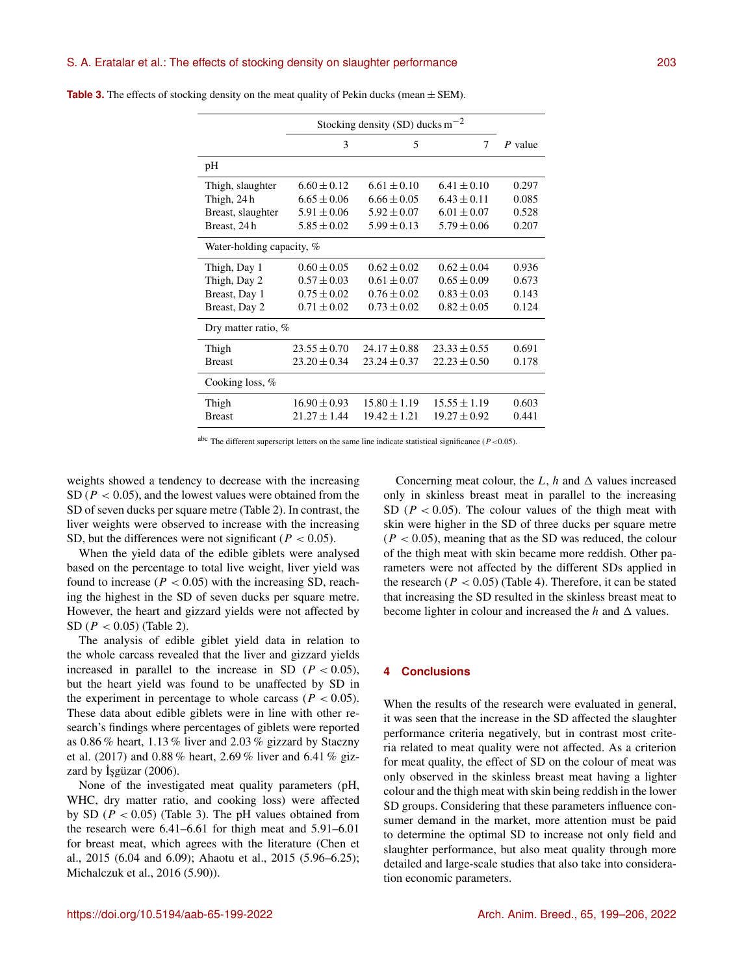|                           | Stocking density (SD) ducks $m^{-2}$ |                  |                  |         |  |  |
|---------------------------|--------------------------------------|------------------|------------------|---------|--|--|
|                           | 3                                    | 5                | 7                | P value |  |  |
| pH                        |                                      |                  |                  |         |  |  |
| Thigh, slaughter          | $6.60 \pm 0.12$                      | $6.61 \pm 0.10$  | $6.41 \pm 0.10$  | 0.297   |  |  |
| Thigh, 24 h               | $6.65 \pm 0.06$                      | $6.66 \pm 0.05$  | $6.43 \pm 0.11$  | 0.085   |  |  |
| Breast, slaughter         | $5.91 \pm 0.06$                      | $5.92 \pm 0.07$  | $6.01 \pm 0.07$  | 0.528   |  |  |
| Breast, 24 h              | $5.85 \pm 0.02$                      | $5.99 \pm 0.13$  | $5.79 \pm 0.06$  | 0.207   |  |  |
| Water-holding capacity, % |                                      |                  |                  |         |  |  |
| Thigh, Day 1              | $0.60 \pm 0.05$                      | $0.62 \pm 0.02$  | $0.62 \pm 0.04$  | 0.936   |  |  |
| Thigh, Day 2              | $0.57 \pm 0.03$                      | $0.61 \pm 0.07$  | $0.65 \pm 0.09$  | 0.673   |  |  |
| Breast, Day 1             | $0.75 \pm 0.02$                      | $0.76 \pm 0.02$  | $0.83 \pm 0.03$  | 0.143   |  |  |
| Breast, Day 2             | $0.71 \pm 0.02$                      | $0.73 \pm 0.02$  | $0.82 \pm 0.05$  | 0.124   |  |  |
| Dry matter ratio, $%$     |                                      |                  |                  |         |  |  |
| Thigh                     | $23.55 \pm 0.70$                     | $24.17 \pm 0.88$ | $23.33 \pm 0.55$ | 0.691   |  |  |
| <b>Breast</b>             | $23.20 \pm 0.34$                     | $23.24 \pm 0.37$ | $22.23 \pm 0.50$ | 0.178   |  |  |
| Cooking loss, $%$         |                                      |                  |                  |         |  |  |
| Thigh                     | $16.90 \pm 0.93$                     | $15.80 \pm 1.19$ | $15.55 \pm 1.19$ | 0.603   |  |  |
| <b>Breast</b>             | $21.27 \pm 1.44$                     | $19.42 \pm 1.21$ | $19.27 \pm 0.92$ | 0.441   |  |  |

**Table 3.** The effects of stocking density on the meat quality of Pekin ducks (mean  $\pm$  SEM).

abc The different superscript letters on the same line indicate statistical significance ( $P < 0.05$ ).

weights showed a tendency to decrease with the increasing SD ( $P < 0.05$ ), and the lowest values were obtained from the SD of seven ducks per square metre (Table 2). In contrast, the liver weights were observed to increase with the increasing SD, but the differences were not significant ( $P < 0.05$ ).

When the yield data of the edible giblets were analysed based on the percentage to total live weight, liver yield was found to increase ( $P < 0.05$ ) with the increasing SD, reaching the highest in the SD of seven ducks per square metre. However, the heart and gizzard yields were not affected by SD ( $P < 0.05$ ) (Table 2).

The analysis of edible giblet yield data in relation to the whole carcass revealed that the liver and gizzard yields increased in parallel to the increase in SD ( $P < 0.05$ ), but the heart yield was found to be unaffected by SD in the experiment in percentage to whole carcass ( $P < 0.05$ ). These data about edible giblets were in line with other research's findings where percentages of giblets were reported as 0.86 % heart, 1.13 % liver and 2.03 % gizzard by Staczny et al. (2017) and 0.88 % heart, 2.69 % liver and 6.41 % gizzard by  $\dot{I}$ sgüzar (2006).

None of the investigated meat quality parameters (pH, WHC, dry matter ratio, and cooking loss) were affected by SD ( $P < 0.05$ ) (Table 3). The pH values obtained from the research were 6.41–6.61 for thigh meat and 5.91–6.01 for breast meat, which agrees with the literature (Chen et al., 2015 (6.04 and 6.09); Ahaotu et al., 2015 (5.96–6.25); Michalczuk et al., 2016 (5.90)).

Concerning meat colour, the L, h and  $\Delta$  values increased only in skinless breast meat in parallel to the increasing SD ( $P < 0.05$ ). The colour values of the thigh meat with skin were higher in the SD of three ducks per square metre  $(P < 0.05)$ , meaning that as the SD was reduced, the colour of the thigh meat with skin became more reddish. Other parameters were not affected by the different SDs applied in the research  $(P < 0.05)$  (Table 4). Therefore, it can be stated that increasing the SD resulted in the skinless breast meat to become lighter in colour and increased the  $h$  and  $\Delta$  values.

### **4 Conclusions**

When the results of the research were evaluated in general, it was seen that the increase in the SD affected the slaughter performance criteria negatively, but in contrast most criteria related to meat quality were not affected. As a criterion for meat quality, the effect of SD on the colour of meat was only observed in the skinless breast meat having a lighter colour and the thigh meat with skin being reddish in the lower SD groups. Considering that these parameters influence consumer demand in the market, more attention must be paid to determine the optimal SD to increase not only field and slaughter performance, but also meat quality through more detailed and large-scale studies that also take into consideration economic parameters.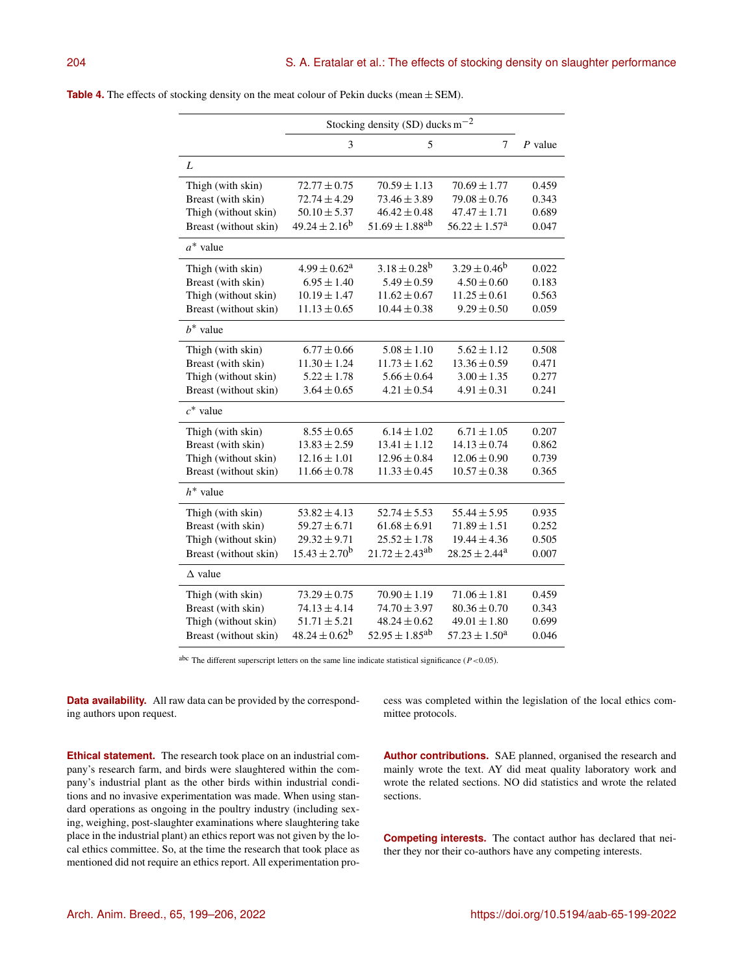|                       | Stocking density (SD) ducks $m^{-2}$ |                                |                               |           |
|-----------------------|--------------------------------------|--------------------------------|-------------------------------|-----------|
|                       | 3                                    | 5                              | 7                             | $P$ value |
| L                     |                                      |                                |                               |           |
| Thigh (with skin)     | $72.77 \pm 0.75$                     | $70.59 \pm 1.13$               | $70.69 \pm 1.77$              | 0.459     |
| Breast (with skin)    | $72.74 \pm 4.29$                     | $73.46 \pm 3.89$               | $79.08 \pm 0.76$              | 0.343     |
| Thigh (without skin)  | $50.10 \pm 5.37$                     | $46.42 \pm 0.48$               | $47.47 \pm 1.71$              | 0.689     |
| Breast (without skin) | $49.24 \pm 2.16^b$                   | $51.69 \pm 1.88$ <sup>ab</sup> | $56.22 \pm 1.57$ <sup>a</sup> | 0.047     |
| $a^*$ value           |                                      |                                |                               |           |
| Thigh (with skin)     | $4.99 \pm 0.62^a$                    | $3.18 \pm 0.28^{b}$            | $3.29 \pm 0.46^b$             | 0.022     |
| Breast (with skin)    | $6.95 \pm 1.40$                      | $5.49 \pm 0.59$                | $4.50 \pm 0.60$               | 0.183     |
| Thigh (without skin)  | $10.19 \pm 1.47$                     | $11.62 \pm 0.67$               | $11.25 \pm 0.61$              | 0.563     |
| Breast (without skin) | $11.13 \pm 0.65$                     | $10.44 \pm 0.38$               | $9.29 \pm 0.50$               | 0.059     |
| $b^*$ value           |                                      |                                |                               |           |
| Thigh (with skin)     | $6.77 \pm 0.66$                      | $5.08 \pm 1.10$                | $5.62 \pm 1.12$               | 0.508     |
| Breast (with skin)    | $11.30 \pm 1.24$                     | $11.73 \pm 1.62$               | $13.36 \pm 0.59$              | 0.471     |
| Thigh (without skin)  | $5.22 \pm 1.78$                      | $5.66 \pm 0.64$                | $3.00 \pm 1.35$               | 0.277     |
| Breast (without skin) | $3.64 \pm 0.65$                      | $4.21 \pm 0.54$                | $4.91 \pm 0.31$               | 0.241     |
| $c^*$ value           |                                      |                                |                               |           |
| Thigh (with skin)     | $8.55 \pm 0.65$                      | $6.14 \pm 1.02$                | $6.71 \pm 1.05$               | 0.207     |
| Breast (with skin)    | $13.83 \pm 2.59$                     | $13.41 \pm 1.12$               | $14.13 \pm 0.74$              | 0.862     |
| Thigh (without skin)  | $12.16 \pm 1.01$                     | $12.96 \pm 0.84$               | $12.06 \pm 0.90$              | 0.739     |
| Breast (without skin) | $11.66 \pm 0.78$                     | $11.33 \pm 0.45$               | $10.57 \pm 0.38$              | 0.365     |
| $h^*$ value           |                                      |                                |                               |           |
| Thigh (with skin)     | $53.82 \pm 4.13$                     | $52.74 \pm 5.53$               | $55.44 \pm 5.95$              | 0.935     |
| Breast (with skin)    | $59.27 \pm 6.71$                     | $61.68 \pm 6.91$               | $71.89 \pm 1.51$              | 0.252     |
| Thigh (without skin)  | $29.32 \pm 9.71$                     | $25.52 \pm 1.78$               | $19.44 \pm 4.36$              | 0.505     |
| Breast (without skin) | $15.43 \pm 2.70^b$                   | $21.72 \pm 2.43^{ab}$          | $28.25 \pm 2.44^a$            | 0.007     |
| $\Delta$ value        |                                      |                                |                               |           |
| Thigh (with skin)     | $73.29 \pm 0.75$                     | $70.90 \pm 1.19$               | $71.06 \pm 1.81$              | 0.459     |
| Breast (with skin)    | $74.13 \pm 4.14$                     | $74.70 \pm 3.97$               | $80.36 \pm 0.70$              | 0.343     |
| Thigh (without skin)  | $51.71 \pm 5.21$                     | $48.24 \pm 0.62$               | $49.01 \pm 1.80$              | 0.699     |
| Breast (without skin) | $48.24 \pm 0.62^b$                   | $52.95 \pm 1.85^{ab}$          | $57.23 \pm 1.50^a$            | 0.046     |

abc The different superscript letters on the same line indicate statistical significance ( $P$  <0.05).

**Data availability.** All raw data can be provided by the corresponding authors upon request.

**Ethical statement.** The research took place on an industrial company's research farm, and birds were slaughtered within the company's industrial plant as the other birds within industrial conditions and no invasive experimentation was made. When using standard operations as ongoing in the poultry industry (including sexing, weighing, post-slaughter examinations where slaughtering take place in the industrial plant) an ethics report was not given by the local ethics committee. So, at the time the research that took place as mentioned did not require an ethics report. All experimentation process was completed within the legislation of the local ethics committee protocols.

**Author contributions.** SAE planned, organised the research and mainly wrote the text. AY did meat quality laboratory work and wrote the related sections. NO did statistics and wrote the related sections.

**Competing interests.** The contact author has declared that neither they nor their co-authors have any competing interests.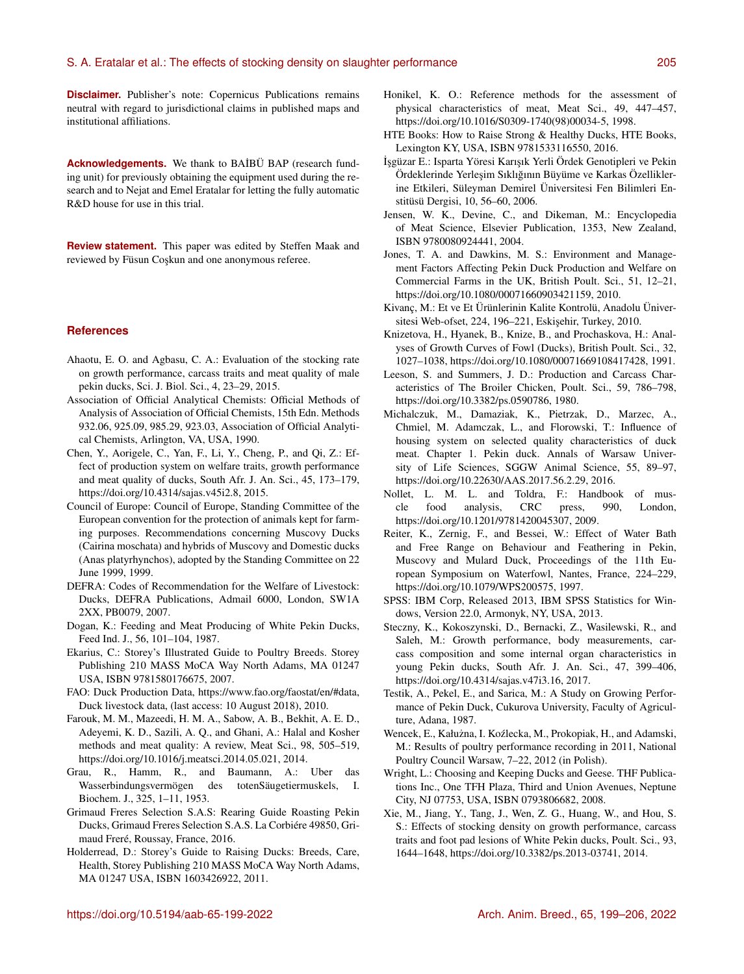**Disclaimer.** Publisher's note: Copernicus Publications remains neutral with regard to jurisdictional claims in published maps and institutional affiliations.

**Acknowledgements.** We thank to BA˙IBÜ BAP (research funding unit) for previously obtaining the equipment used during the research and to Nejat and Emel Eratalar for letting the fully automatic R&D house for use in this trial.

**Review statement.** This paper was edited by Steffen Maak and reviewed by Füsun Coşkun and one anonymous referee.

#### **References**

- Ahaotu, E. O. and Agbasu, C. A.: Evaluation of the stocking rate on growth performance, carcass traits and meat quality of male pekin ducks, Sci. J. Biol. Sci., 4, 23–29, 2015.
- Association of Official Analytical Chemists: Official Methods of Analysis of Association of Official Chemists, 15th Edn. Methods 932.06, 925.09, 985.29, 923.03, Association of Official Analytical Chemists, Arlington, VA, USA, 1990.
- Chen, Y., Aorigele, C., Yan, F., Li, Y., Cheng, P., and Qi, Z.: Effect of production system on welfare traits, growth performance and meat quality of ducks, South Afr. J. An. Sci., 45, 173–179, https://doi.org[/10.4314/sajas.v45i2.8,](https://doi.org/10.4314/sajas.v45i2.8) 2015.
- Council of Europe: Council of Europe, Standing Committee of the European convention for the protection of animals kept for farming purposes. Recommendations concerning Muscovy Ducks (Cairina moschata) and hybrids of Muscovy and Domestic ducks (Anas platyrhynchos), adopted by the Standing Committee on 22 June 1999, 1999.
- DEFRA: Codes of Recommendation for the Welfare of Livestock: Ducks, DEFRA Publications, Admail 6000, London, SW1A 2XX, PB0079, 2007.
- Dogan, K.: Feeding and Meat Producing of White Pekin Ducks, Feed Ind. J., 56, 101–104, 1987.
- Ekarius, C.: Storey's Illustrated Guide to Poultry Breeds. Storey Publishing 210 MASS MoCA Way North Adams, MA 01247 USA, ISBN 9781580176675, 2007.
- FAO: Duck Production Data, [https://www.fao.org/faostat/en/#data,](https://www.fao.org/faostat/en/#data) Duck livestock data, (last access: 10 August 2018), 2010.
- Farouk, M. M., Mazeedi, H. M. A., Sabow, A. B., Bekhit, A. E. D., Adeyemi, K. D., Sazili, A. Q., and Ghani, A.: Halal and Kosher methods and meat quality: A review, Meat Sci., 98, 505–519, https://doi.org[/10.1016/j.meatsci.2014.05.021,](https://doi.org/10.1016/j.meatsci.2014.05.021) 2014.
- Grau, R., Hamm, R., and Baumann, A.: Uber das Wasserbindungsvermögen des totenSäugetiermuskels, I. Biochem. J., 325, 1–11, 1953.
- Grimaud Freres Selection S.A.S: Rearing Guide Roasting Pekin Ducks, Grimaud Freres Selection S.A.S. La Corbiére 49850, Grimaud Freré, Roussay, France, 2016.
- Holderread, D.: Storey's Guide to Raising Ducks: Breeds, Care, Health, Storey Publishing 210 MASS MoCA Way North Adams, MA 01247 USA, ISBN 1603426922, 2011.
- Honikel, K. O.: Reference methods for the assessment of physical characteristics of meat, Meat Sci., 49, 447–457, https://doi.org[/10.1016/S0309-1740\(98\)00034-5,](https://doi.org/10.1016/S0309-1740(98)00034-5) 1998.
- HTE Books: How to Raise Strong & Healthy Ducks, HTE Books, Lexington KY, USA, ISBN 9781533116550, 2016.
- ˙I¸sgüzar E.: Isparta Yöresi Karı¸sık Yerli Ördek Genotipleri ve Pekin Ördeklerinde Yerle¸sim Sıklıgının Büyüme ve Karkas Özellikler- ˘ ine Etkileri, Süleyman Demirel Üniversitesi Fen Bilimleri Enstitüsü Dergisi, 10, 56–60, 2006.
- Jensen, W. K., Devine, C., and Dikeman, M.: Encyclopedia of Meat Science, Elsevier Publication, 1353, New Zealand, ISBN 9780080924441, 2004.
- Jones, T. A. and Dawkins, M. S.: Environment and Management Factors Affecting Pekin Duck Production and Welfare on Commercial Farms in the UK, British Poult. Sci., 51, 12–21, https://doi.org[/10.1080/00071660903421159,](https://doi.org/10.1080/00071660903421159) 2010.
- Kivanç, M.: Et ve Et Ürünlerinin Kalite Kontrolü, Anadolu Üniversitesi Web-ofset, 224, 196-221, Eskişehir, Turkey, 2010.
- Knizetova, H., Hyanek, B., Knize, B., and Prochaskova, H.: Analyses of Growth Curves of Fowl (Ducks), British Poult. Sci., 32, 1027–1038, https://doi.org[/10.1080/00071669108417428,](https://doi.org/10.1080/00071669108417428) 1991.
- Leeson, S. and Summers, J. D.: Production and Carcass Characteristics of The Broiler Chicken, Poult. Sci., 59, 786–798, https://doi.org[/10.3382/ps.0590786,](https://doi.org/10.3382/ps.0590786) 1980.
- Michalczuk, M., Damaziak, K., Pietrzak, D., Marzec, A., Chmiel, M. Adamczak, L., and Florowski, T.: Influence of housing system on selected quality characteristics of duck meat. Chapter 1. Pekin duck. Annals of Warsaw University of Life Sciences, SGGW Animal Science, 55, 89–97, https://doi.org[/10.22630/AAS.2017.56.2.29,](https://doi.org/10.22630/AAS.2017.56.2.29) 2016.
- Nollet, L. M. L. and Toldra, F.: Handbook of muscle food analysis, CRC press, 990, London, https://doi.org[/10.1201/9781420045307,](https://doi.org/10.1201/9781420045307) 2009.
- Reiter, K., Zernig, F., and Bessei, W.: Effect of Water Bath and Free Range on Behaviour and Feathering in Pekin, Muscovy and Mulard Duck, Proceedings of the 11th European Symposium on Waterfowl, Nantes, France, 224–229, https://doi.org[/10.1079/WPS200575,](https://doi.org/10.1079/WPS200575) 1997.
- SPSS: IBM Corp, Released 2013, IBM SPSS Statistics for Windows, Version 22.0, Armonyk, NY, USA, 2013.
- Steczny, K., Kokoszynski, D., Bernacki, Z., Wasilewski, R., and Saleh, M.: Growth performance, body measurements, carcass composition and some internal organ characteristics in young Pekin ducks, South Afr. J. An. Sci., 47, 399–406, https://doi.org[/10.4314/sajas.v47i3.16,](https://doi.org/10.4314/sajas.v47i3.16) 2017.
- Testik, A., Pekel, E., and Sarica, M.: A Study on Growing Performance of Pekin Duck, Cukurova University, Faculty of Agriculture, Adana, 1987.
- Wencek, E., Kałużna, I. Koźlecka, M., Prokopiak, H., and Adamski, M.: Results of poultry performance recording in 2011, National Poultry Council Warsaw, 7–22, 2012 (in Polish).
- Wright, L.: Choosing and Keeping Ducks and Geese. THF Publications Inc., One TFH Plaza, Third and Union Avenues, Neptune City, NJ 07753, USA, ISBN 0793806682, 2008.
- Xie, M., Jiang, Y., Tang, J., Wen, Z. G., Huang, W., and Hou, S. S.: Effects of stocking density on growth performance, carcass traits and foot pad lesions of White Pekin ducks, Poult. Sci., 93, 1644–1648, https://doi.org[/10.3382/ps.2013-03741,](https://doi.org/10.3382/ps.2013-03741) 2014.